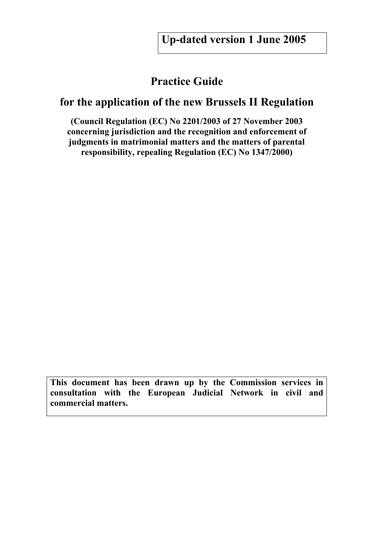## **Practice Guide**

## **for the application of the new Brussels II Regulation**

**(Council Regulation (EC) No 2201/2003 of 27 November 2003 concerning jurisdiction and the recognition and enforcement of judgments in matrimonial matters and the matters of parental responsibility, repealing Regulation (EC) No 1347/2000)** 

**This document has been drawn up by the Commission services in consultation with the European Judicial Network in civil and commercial matters.**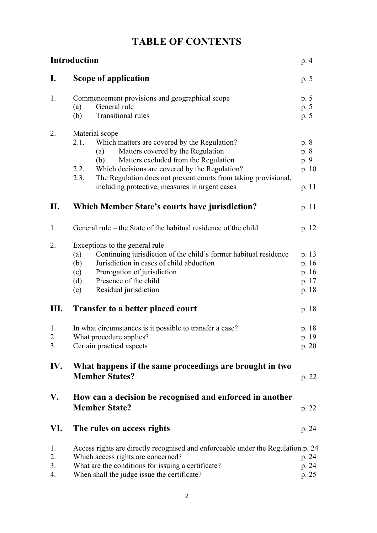|  |  | <b>TABLE OF CONTENTS</b> |
|--|--|--------------------------|
|--|--|--------------------------|

|                      | <b>Introduction</b>                                                                                                                                                                                                                                                                                                                                      | p. 4                                     |
|----------------------|----------------------------------------------------------------------------------------------------------------------------------------------------------------------------------------------------------------------------------------------------------------------------------------------------------------------------------------------------------|------------------------------------------|
| $\mathbf{I}$ .       | <b>Scope of application</b>                                                                                                                                                                                                                                                                                                                              | p. 5                                     |
| 1.                   | Commencement provisions and geographical scope<br>General rule<br>(a)<br>Transitional rules<br>(b)                                                                                                                                                                                                                                                       | p. 5<br>p. 5<br>p. 5                     |
| 2.                   | Material scope<br>2.1.<br>Which matters are covered by the Regulation?<br>Matters covered by the Regulation<br>(a)<br>Matters excluded from the Regulation<br>(b)<br>Which decisions are covered by the Regulation?<br>2.2.<br>2.3.<br>The Regulation does not prevent courts from taking provisional,<br>including protective, measures in urgent cases | p. 8<br>p. 8<br>p. 9<br>p. 10<br>p. 11   |
| П.                   | <b>Which Member State's courts have jurisdiction?</b>                                                                                                                                                                                                                                                                                                    | p. 11                                    |
| 1.                   | General rule – the State of the habitual residence of the child                                                                                                                                                                                                                                                                                          | p. 12                                    |
| 2.                   | Exceptions to the general rule<br>Continuing jurisdiction of the child's former habitual residence<br>(a)<br>Jurisdiction in cases of child abduction<br>(b)<br>Prorogation of jurisdiction<br>(c)<br>Presence of the child<br>(d)<br>Residual jurisdiction<br>(e)                                                                                       | p. 13<br>p.16<br>p. 16<br>p. 17<br>p. 18 |
| III.                 | <b>Transfer to a better placed court</b>                                                                                                                                                                                                                                                                                                                 | p. 18                                    |
| 1.<br>2.<br>3.       | In what circumstances is it possible to transfer a case?<br>What procedure applies?<br>Certain practical aspects                                                                                                                                                                                                                                         |                                          |
| IV.                  | What happens if the same proceedings are brought in two<br><b>Member States?</b>                                                                                                                                                                                                                                                                         |                                          |
| V.                   | How can a decision be recognised and enforced in another<br><b>Member State?</b>                                                                                                                                                                                                                                                                         |                                          |
| VI.                  | The rules on access rights                                                                                                                                                                                                                                                                                                                               | p. 24                                    |
| 1.<br>2.<br>3.<br>4. | Access rights are directly recognised and enforceable under the Regulation.p. 24<br>Which access rights are concerned?<br>What are the conditions for issuing a certificate?<br>When shall the judge issue the certificate?                                                                                                                              |                                          |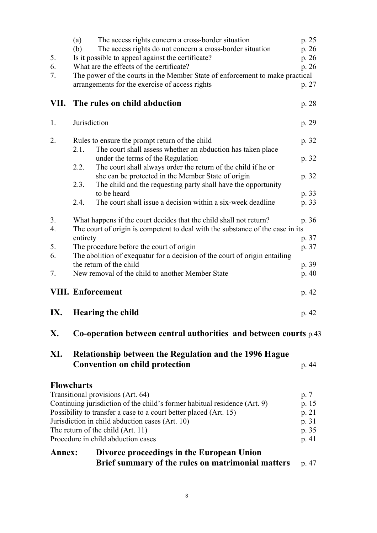|        | (a)<br>The access rights concern a cross-border situation                      | p. 25 |  |  |  |
|--------|--------------------------------------------------------------------------------|-------|--|--|--|
|        | The access rights do not concern a cross-border situation<br>(b)               | p. 26 |  |  |  |
| 5.     | Is it possible to appeal against the certificate?                              |       |  |  |  |
| 6.     | What are the effects of the certificate?                                       | p. 26 |  |  |  |
| 7.     | The power of the courts in the Member State of enforcement to make practical   |       |  |  |  |
|        | arrangements for the exercise of access rights                                 | p. 27 |  |  |  |
| VII.   | The rules on child abduction                                                   | p. 28 |  |  |  |
| 1.     | Jurisdiction                                                                   | p. 29 |  |  |  |
| 2.     | Rules to ensure the prompt return of the child                                 |       |  |  |  |
|        | The court shall assess whether an abduction has taken place<br>2.1.            |       |  |  |  |
|        | under the terms of the Regulation                                              | p. 32 |  |  |  |
|        | 2.2.<br>The court shall always order the return of the child if he or          |       |  |  |  |
|        | she can be protected in the Member State of origin                             | p. 32 |  |  |  |
|        | 2.3.<br>The child and the requesting party shall have the opportunity          |       |  |  |  |
|        | to be heard                                                                    | p. 33 |  |  |  |
|        | The court shall issue a decision within a six-week deadline<br>2.4.            | p. 33 |  |  |  |
| 3.     | What happens if the court decides that the child shall not return?             | p. 36 |  |  |  |
| 4.     | The court of origin is competent to deal with the substance of the case in its |       |  |  |  |
|        | entirety                                                                       | p. 37 |  |  |  |
| 5.     | The procedure before the court of origin                                       | p. 37 |  |  |  |
| 6.     | The abolition of exequatur for a decision of the court of origin entailing     |       |  |  |  |
|        | the return of the child                                                        | p. 39 |  |  |  |
| 7.     | New removal of the child to another Member State                               |       |  |  |  |
|        | <b>VIII. Enforcement</b>                                                       |       |  |  |  |
| IX.    | <b>Hearing the child</b>                                                       | p. 42 |  |  |  |
| X.     | Co-operation between central authorities and between courts $p.43$             |       |  |  |  |
| XI.    | Relationship between the Regulation and the 1996 Hague                         |       |  |  |  |
|        | <b>Convention on child protection</b>                                          | p. 44 |  |  |  |
|        | <b>Flowcharts</b>                                                              |       |  |  |  |
|        | Transitional provisions (Art. 64)                                              | p. 7  |  |  |  |
|        | Continuing jurisdiction of the child's former habitual residence (Art. 9)      | p. 15 |  |  |  |
|        | Possibility to transfer a case to a court better placed (Art. 15)              | p. 21 |  |  |  |
|        | Jurisdiction in child abduction cases (Art. 10)                                | p. 31 |  |  |  |
|        | The return of the child (Art. 11)                                              | p. 35 |  |  |  |
|        | Procedure in child abduction cases                                             | p. 41 |  |  |  |
| Annex: | Divorce proceedings in the European Union                                      |       |  |  |  |
|        | Brief summary of the rules on matrimonial matters                              | p. 47 |  |  |  |
|        |                                                                                |       |  |  |  |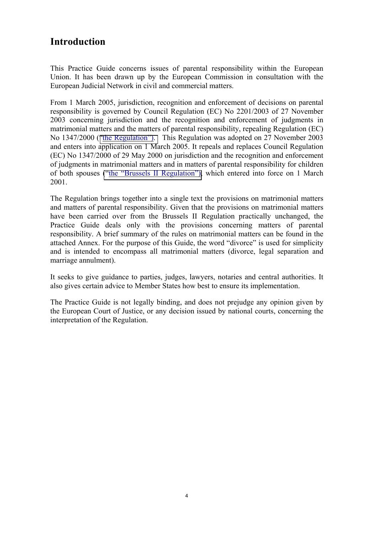## **Introduction**

This Practice Guide concerns issues of parental responsibility within the European Union. It has been drawn up by the European Commission in consultation with the European Judicial Network in civil and commercial matters.

From 1 March 2005, jurisdiction, recognition and enforcement of decisions on parental responsibility is governed by Council Regulation (EC) No 2201/2003 of 27 November 2003 concerning jurisdiction and the recognition and enforcement of judgments in matrimonial matters and the matters of parental responsibility, repealing Regulation (EC) No 1347/2000 (["the Regulation"\).](http://europa.eu.int/servlet/portail/RenderServlet?search=RefPub&lg=en&nb_docs=25&domain=&in_force=NO&year=2003&month=&day=&coll=JOL&nu_jo=338&page=1) This Regulation was adopted on 27 November 2003 and enters into application on 1 March 2005. It repeals and replaces Council Regulation (EC) No 1347/2000 of 29 May 2000 on jurisdiction and the recognition and enforcement of judgments in matrimonial matters and in matters of parental responsibility for children of both spouses [\("the "Brussels II Regulation"\),](http://europa.eu.int/servlet/portail/RenderServlet?search=RefPub&lg=en&nb_docs=25&domain=&in_force=NO&year=2000&month=6&day=&coll=JOL&nu_jo=160&page=19) which entered into force on 1 March 2001.

The Regulation brings together into a single text the provisions on matrimonial matters and matters of parental responsibility. Given that the provisions on matrimonial matters have been carried over from the Brussels II Regulation practically unchanged, the Practice Guide deals only with the provisions concerning matters of parental responsibility. A brief summary of the rules on matrimonial matters can be found in the attached Annex. For the purpose of this Guide, the word "divorce" is used for simplicity and is intended to encompass all matrimonial matters (divorce, legal separation and marriage annulment).

It seeks to give guidance to parties, judges, lawyers, notaries and central authorities. It also gives certain advice to Member States how best to ensure its implementation.

The Practice Guide is not legally binding, and does not prejudge any opinion given by the European Court of Justice, or any decision issued by national courts, concerning the interpretation of the Regulation.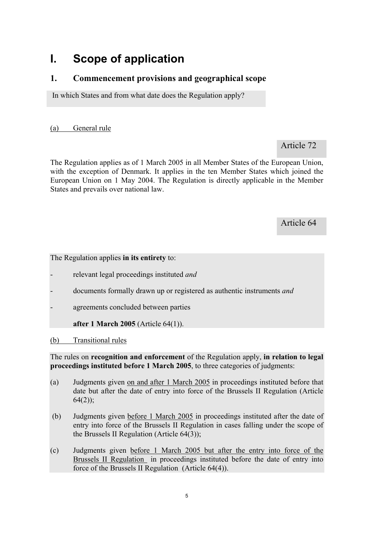## **I. Scope of application**

## **1. Commencement provisions and geographical scope**

In which States and from what date does the Regulation apply?

(a) General rule

Article 72

The Regulation applies as of 1 March 2005 in all Member States of the European Union, with the exception of Denmark. It applies in the ten Member States which joined the European Union on 1 May 2004. The Regulation is directly applicable in the Member States and prevails over national law.

Article 64

The Regulation applies **in its entirety** to:

- relevant legal proceedings instituted *and*
- documents formally drawn up or registered as authentic instruments *and*
- agreements concluded between parties

**after 1 March 2005** (Article 64(1)).

(b) Transitional rules

The rules on **recognition and enforcement** of the Regulation apply, **in relation to legal proceedings instituted before 1 March 2005**, to three categories of judgments:

- (a) Judgments given on and after 1 March 2005 in proceedings instituted before that date but after the date of entry into force of the Brussels II Regulation (Article  $64(2)$ ;
- (b) Judgments given before 1 March 2005 in proceedings instituted after the date of entry into force of the Brussels II Regulation in cases falling under the scope of the Brussels II Regulation (Article 64(3));
- (c) Judgments given before 1 March 2005 but after the entry into force of the Brussels II Regulation in proceedings instituted before the date of entry into force of the Brussels II Regulation (Article 64(4)).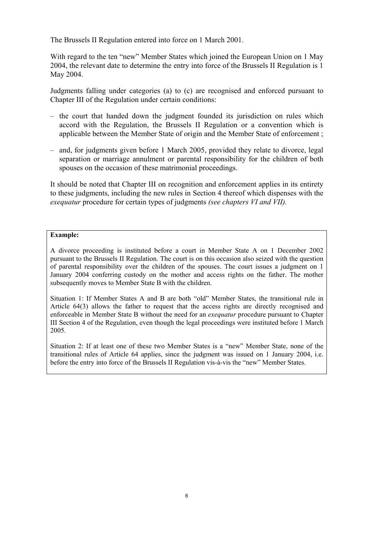The Brussels II Regulation entered into force on 1 March 2001.

With regard to the ten "new" Member States which joined the European Union on 1 May 2004, the relevant date to determine the entry into force of the Brussels II Regulation is 1 May 2004.

Judgments falling under categories (a) to (c) are recognised and enforced pursuant to Chapter III of the Regulation under certain conditions:

- the court that handed down the judgment founded its jurisdiction on rules which accord with the Regulation, the Brussels II Regulation or a convention which is applicable between the Member State of origin and the Member State of enforcement ;
- and, for judgments given before 1 March 2005, provided they relate to divorce, legal separation or marriage annulment or parental responsibility for the children of both spouses on the occasion of these matrimonial proceedings.

It should be noted that Chapter III on recognition and enforcement applies in its entirety to these judgments, including the new rules in Section 4 thereof which dispenses with the *exequatur* procedure for certain types of judgments *(see chapters VI and VII).*

#### **Example:**

A divorce proceeding is instituted before a court in Member State A on 1 December 2002 pursuant to the Brussels II Regulation. The court is on this occasion also seized with the question of parental responsibility over the children of the spouses. The court issues a judgment on 1 January 2004 conferring custody on the mother and access rights on the father. The mother subsequently moves to Member State B with the children.

Situation 1: If Member States A and B are both "old" Member States, the transitional rule in Article 64(3) allows the father to request that the access rights are directly recognised and enforceable in Member State B without the need for an *exequatur* procedure pursuant to Chapter III Section 4 of the Regulation, even though the legal proceedings were instituted before 1 March 2005.

Situation 2: If at least one of these two Member States is a "new" Member State, none of the transitional rules of Article 64 applies, since the judgment was issued on 1 January 2004, i.e. before the entry into force of the Brussels II Regulation vis-à-vis the "new" Member States.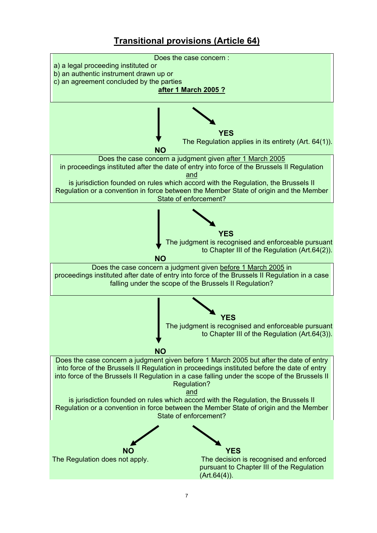## **Transitional provisions (Article 64)**

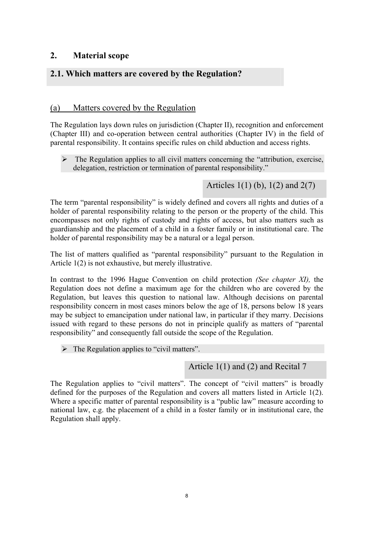## **2. Material scope**

## **2.1. Which matters are covered by the Regulation?**

### (a) Matters covered by the Regulation

The Regulation lays down rules on jurisdiction (Chapter II), recognition and enforcement (Chapter III) and co-operation between central authorities (Chapter IV) in the field of parental responsibility. It contains specific rules on child abduction and access rights.

 $\triangleright$  The Regulation applies to all civil matters concerning the "attribution, exercise, delegation, restriction or termination of parental responsibility."

Articles 1(1) (b), 1(2) and 2(7)

The term "parental responsibility" is widely defined and covers all rights and duties of a holder of parental responsibility relating to the person or the property of the child. This encompasses not only rights of custody and rights of access, but also matters such as guardianship and the placement of a child in a foster family or in institutional care. The holder of parental responsibility may be a natural or a legal person.

The list of matters qualified as "parental responsibility" pursuant to the Regulation in Article 1(2) is not exhaustive, but merely illustrative.

In contrast to the 1996 Hague Convention on child protection *(See chapter XI),* the Regulation does not define a maximum age for the children who are covered by the Regulation, but leaves this question to national law. Although decisions on parental responsibility concern in most cases minors below the age of 18, persons below 18 years may be subject to emancipation under national law, in particular if they marry. Decisions issued with regard to these persons do not in principle qualify as matters of "parental responsibility" and consequently fall outside the scope of the Regulation.

 $\triangleright$  The Regulation applies to "civil matters".

Article 1(1) and (2) and Recital 7

The Regulation applies to "civil matters". The concept of "civil matters" is broadly defined for the purposes of the Regulation and covers all matters listed in Article 1(2). Where a specific matter of parental responsibility is a "public law" measure according to national law, e.g. the placement of a child in a foster family or in institutional care, the Regulation shall apply.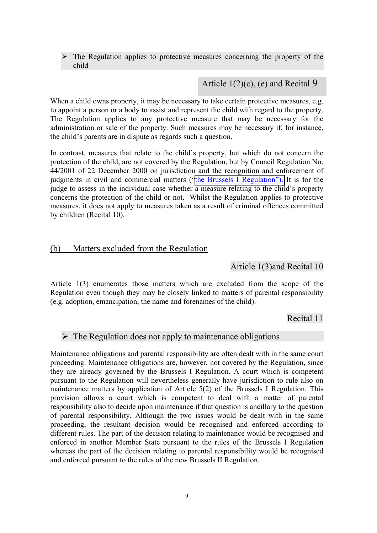$\triangleright$  The Regulation applies to protective measures concerning the property of the child

### Article  $1(2)(c)$ , (e) and Recital 9

When a child owns property, it may be necessary to take certain protective measures, e.g. to appoint a person or a body to assist and represent the child with regard to the property. The Regulation applies to any protective measure that may be necessary for the administration or sale of the property. Such measures may be necessary if, for instance, the child's parents are in dispute as regards such a question.

In contrast, measures that relate to the child's property, but which do not concern the protection of the child, are not covered by the Regulation, but by Council Regulation No. 44/2001 of 22 December 2000 on jurisdiction and the recognition and enforcement of judgments in civil and commercial matters (["the Brussels I Regulation"\).](http://europa.eu.int/servlet/portail/Regulation%20(EC)%20No�44/2001) It is for the judge to assess in the individual case whether a measure relating to the child's property concerns the protection of the child or not. Whilst the Regulation applies to protective measures, it does not apply to measures taken as a result of criminal offences committed by children (Recital 10).

### (b) Matters excluded from the Regulation

### Article 1(3)and Recital 10

Article 1(3) enumerates those matters which are excluded from the scope of the Regulation even though they may be closely linked to matters of parental responsibility (e.g. adoption, emancipation, the name and forenames of the child).

Recital 11

### $\triangleright$  The Regulation does not apply to maintenance obligations

Maintenance obligations and parental responsibility are often dealt with in the same court proceeding. Maintenance obligations are, however, not covered by the Regulation, since they are already governed by the Brussels I Regulation. A court which is competent pursuant to the Regulation will nevertheless generally have jurisdiction to rule also on maintenance matters by application of Article 5(2) of the Brussels I Regulation. This provision allows a court which is competent to deal with a matter of parental responsibility also to decide upon maintenance if that question is ancillary to the question of parental responsibility. Although the two issues would be dealt with in the same proceeding, the resultant decision would be recognised and enforced according to different rules. The part of the decision relating to maintenance would be recognised and enforced in another Member State pursuant to the rules of the Brussels I Regulation whereas the part of the decision relating to parental responsibility would be recognised and enforced pursuant to the rules of the new Brussels II Regulation.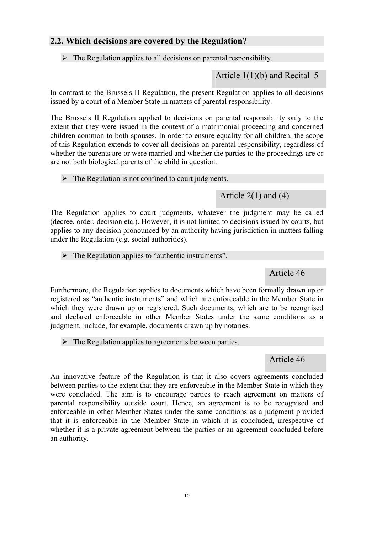## **2.2. Which decisions are covered by the Regulation?**

 $\triangleright$  The Regulation applies to all decisions on parental responsibility.

Article 1(1)(b) and Recital 5

In contrast to the Brussels II Regulation, the present Regulation applies to all decisions issued by a court of a Member State in matters of parental responsibility.

The Brussels II Regulation applied to decisions on parental responsibility only to the extent that they were issued in the context of a matrimonial proceeding and concerned children common to both spouses. In order to ensure equality for all children, the scope of this Regulation extends to cover all decisions on parental responsibility, regardless of whether the parents are or were married and whether the parties to the proceedings are or are not both biological parents of the child in question.

 $\triangleright$  The Regulation is not confined to court judgments.

Article 2(1) and (4)

The Regulation applies to court judgments, whatever the judgment may be called (decree, order, decision etc.). However, it is not limited to decisions issued by courts, but applies to any decision pronounced by an authority having jurisdiction in matters falling under the Regulation (e.g. social authorities).

 $\triangleright$  The Regulation applies to "authentic instruments".

Article 46

Furthermore, the Regulation applies to documents which have been formally drawn up or registered as "authentic instruments" and which are enforceable in the Member State in which they were drawn up or registered. Such documents, which are to be recognised and declared enforceable in other Member States under the same conditions as a judgment, include, for example, documents drawn up by notaries.

 $\triangleright$  The Regulation applies to agreements between parties.

Article 46

An innovative feature of the Regulation is that it also covers agreements concluded between parties to the extent that they are enforceable in the Member State in which they were concluded. The aim is to encourage parties to reach agreement on matters of parental responsibility outside court. Hence, an agreement is to be recognised and enforceable in other Member States under the same conditions as a judgment provided that it is enforceable in the Member State in which it is concluded, irrespective of whether it is a private agreement between the parties or an agreement concluded before an authority.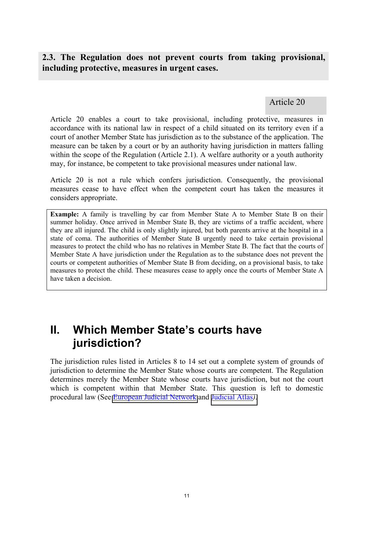## **2.3. The Regulation does not prevent courts from taking provisional, including protective, measures in urgent cases.**

Article 20

Article 20 enables a court to take provisional, including protective, measures in accordance with its national law in respect of a child situated on its territory even if a court of another Member State has jurisdiction as to the substance of the application. The measure can be taken by a court or by an authority having jurisdiction in matters falling within the scope of the Regulation (Article 2.1). A welfare authority or a youth authority may, for instance, be competent to take provisional measures under national law.

Article 20 is not a rule which confers jurisdiction. Consequently, the provisional measures cease to have effect when the competent court has taken the measures it considers appropriate.

**Example:** A family is travelling by car from Member State A to Member State B on their summer holiday. Once arrived in Member State B, they are victims of a traffic accident, where they are all injured. The child is only slightly injured, but both parents arrive at the hospital in a state of coma. The authorities of Member State B urgently need to take certain provisional measures to protect the child who has no relatives in Member State B. The fact that the courts of Member State A have jurisdiction under the Regulation as to the substance does not prevent the courts or competent authorities of Member State B from deciding, on a provisional basis, to take measures to protect the child. These measures cease to apply once the courts of Member State A have taken a decision.

## **II. Which Member State's courts have jurisdiction?**

The jurisdiction rules listed in Articles 8 to 14 set out a complete system of grounds of jurisdiction to determine the Member State whose courts are competent. The Regulation determines merely the Member State whose courts have jurisdiction, but not the court which is competent within that Member State. This question is left to domestic procedural law (See [European Judicial Network](http://europa.eu.int/comm/justice_home/ejn/) and [Judicial Atlas](http://europa.eu.int/comm/justice_home/judicialatlascivil/html/index.htm)*)*.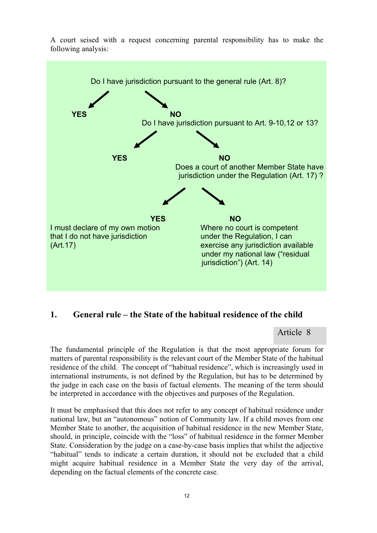



### **1. General rule – the State of the habitual residence of the child**

Article 8

The fundamental principle of the Regulation is that the most appropriate forum for matters of parental responsibility is the relevant court of the Member State of the habitual residence of the child. The concept of "habitual residence", which is increasingly used in international instruments, is not defined by the Regulation, but has to be determined by the judge in each case on the basis of factual elements. The meaning of the term should be interpreted in accordance with the objectives and purposes of the Regulation.

It must be emphasised that this does not refer to any concept of habitual residence under national law, but an "autonomous" notion of Community law. If a child moves from one Member State to another, the acquisition of habitual residence in the new Member State, should, in principle, coincide with the "loss" of habitual residence in the former Member State. Consideration by the judge on a case-by-case basis implies that whilst the adjective "habitual" tends to indicate a certain duration, it should not be excluded that a child might acquire habitual residence in a Member State the very day of the arrival, depending on the factual elements of the concrete case.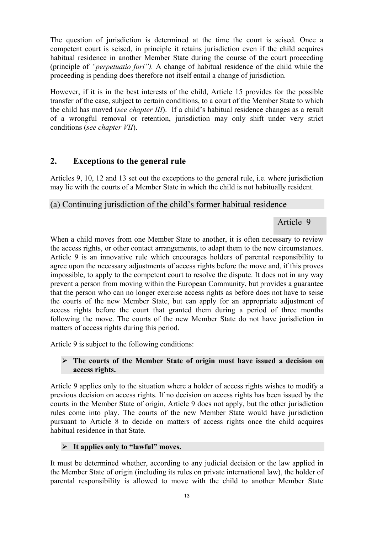The question of jurisdiction is determined at the time the court is seised. Once a competent court is seised, in principle it retains jurisdiction even if the child acquires habitual residence in another Member State during the course of the court proceeding (principle of *"perpetuatio fori").* A change of habitual residence of the child while the proceeding is pending does therefore not itself entail a change of jurisdiction.

However, if it is in the best interests of the child, Article 15 provides for the possible transfer of the case, subject to certain conditions, to a court of the Member State to which the child has moved (*see chapter III*). If a child's habitual residence changes as a result of a wrongful removal or retention, jurisdiction may only shift under very strict conditions (*see chapter VII*).

## **2. Exceptions to the general rule**

Articles 9, 10, 12 and 13 set out the exceptions to the general rule, i.e. where jurisdiction may lie with the courts of a Member State in which the child is not habitually resident.

## (a) Continuing jurisdiction of the child's former habitual residence

### Article 9

When a child moves from one Member State to another, it is often necessary to review the access rights, or other contact arrangements, to adapt them to the new circumstances. Article 9 is an innovative rule which encourages holders of parental responsibility to agree upon the necessary adjustments of access rights before the move and, if this proves impossible, to apply to the competent court to resolve the dispute. It does not in any way prevent a person from moving within the European Community, but provides a guarantee that the person who can no longer exercise access rights as before does not have to seise the courts of the new Member State, but can apply for an appropriate adjustment of access rights before the court that granted them during a period of three months following the move. The courts of the new Member State do not have jurisdiction in matters of access rights during this period.

Article 9 is subject to the following conditions:

#### ¾ **The courts of the Member State of origin must have issued a decision on access rights.**

Article 9 applies only to the situation where a holder of access rights wishes to modify a previous decision on access rights. If no decision on access rights has been issued by the courts in the Member State of origin, Article 9 does not apply, but the other jurisdiction rules come into play. The courts of the new Member State would have jurisdiction pursuant to Article 8 to decide on matters of access rights once the child acquires habitual residence in that State.

### ¾ **It applies only to "lawful" moves.**

It must be determined whether, according to any judicial decision or the law applied in the Member State of origin (including its rules on private international law), the holder of parental responsibility is allowed to move with the child to another Member State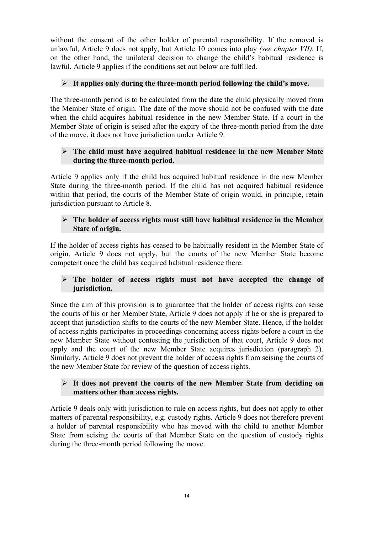without the consent of the other holder of parental responsibility. If the removal is unlawful, Article 9 does not apply, but Article 10 comes into play *(see chapter VII).* If, on the other hand, the unilateral decision to change the child's habitual residence is lawful, Article 9 applies if the conditions set out below are fulfilled.

### $\triangleright$  It applies only during the three-month period following the child's move.

The three-month period is to be calculated from the date the child physically moved from the Member State of origin. The date of the move should not be confused with the date when the child acquires habitual residence in the new Member State. If a court in the Member State of origin is seised after the expiry of the three-month period from the date of the move, it does not have jurisdiction under Article 9.

### ¾ **The child must have acquired habitual residence in the new Member State during the three-month period.**

Article 9 applies only if the child has acquired habitual residence in the new Member State during the three-month period. If the child has not acquired habitual residence within that period, the courts of the Member State of origin would, in principle, retain jurisdiction pursuant to Article 8.

### ¾ **The holder of access rights must still have habitual residence in the Member State of origin.**

If the holder of access rights has ceased to be habitually resident in the Member State of origin, Article 9 does not apply, but the courts of the new Member State become competent once the child has acquired habitual residence there.

### ¾ **The holder of access rights must not have accepted the change of jurisdiction.**

Since the aim of this provision is to guarantee that the holder of access rights can seise the courts of his or her Member State, Article 9 does not apply if he or she is prepared to accept that jurisdiction shifts to the courts of the new Member State. Hence, if the holder of access rights participates in proceedings concerning access rights before a court in the new Member State without contesting the jurisdiction of that court, Article 9 does not apply and the court of the new Member State acquires jurisdiction (paragraph 2). Similarly, Article 9 does not prevent the holder of access rights from seising the courts of the new Member State for review of the question of access rights.

### ¾ **It does not prevent the courts of the new Member State from deciding on matters other than access rights.**

Article 9 deals only with jurisdiction to rule on access rights, but does not apply to other matters of parental responsibility, e.g. custody rights. Article 9 does not therefore prevent a holder of parental responsibility who has moved with the child to another Member State from seising the courts of that Member State on the question of custody rights during the three-month period following the move.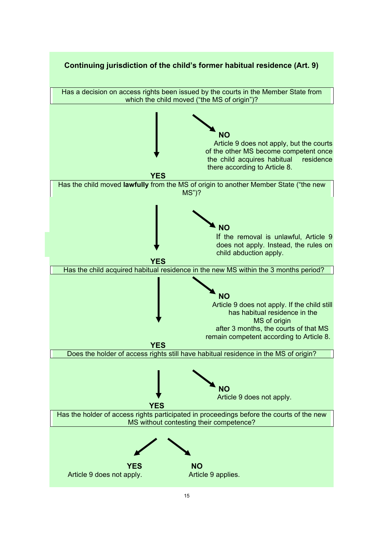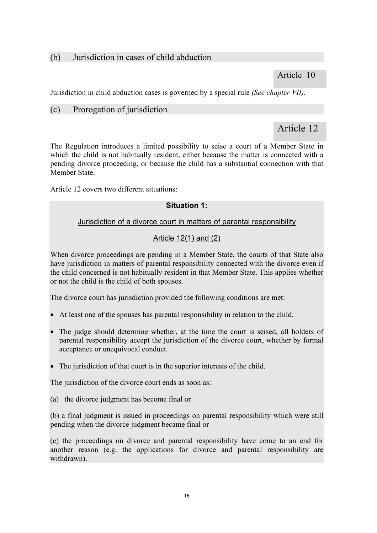## (b) Jurisdiction in cases of child abduction

Article 10

Jurisdiction in child abduction cases is governed by a special rule *(See chapter VII).* 

### (c) Prorogation of jurisdiction

## Article 12

The Regulation introduces a limited possibility to seise a court of a Member State in which the child is not habitually resident, either because the matter is connected with a pending divorce proceeding, or because the child has a substantial connection with that Member State.

Article 12 covers two different situations:

### **Situation 1:**

### Jurisdiction of a divorce court in matters of parental responsibility

### Article 12(1) and (2)

When divorce proceedings are pending in a Member State, the courts of that State also have jurisdiction in matters of parental responsibility connected with the divorce even if the child concerned is not habitually resident in that Member State. This applies whether or not the child is the child of both spouses.

The divorce court has jurisdiction provided the following conditions are met:

- At least one of the spouses has parental responsibility in relation to the child.
- The judge should determine whether, at the time the court is seised, all holders of parental responsibility accept the jurisdiction of the divorce court, whether by formal acceptance or unequivocal conduct.
- The jurisdiction of that court is in the superior interests of the child.

The jurisdiction of the divorce court ends as soon as:

(a) the divorce judgment has become final or

(b) a final judgment is issued in proceedings on parental responsibility which were still pending when the divorce judgment became final or

(c) the proceedings on divorce and parental responsibility have come to an end for another reason (e.g. the applications for divorce and parental responsibility are withdrawn).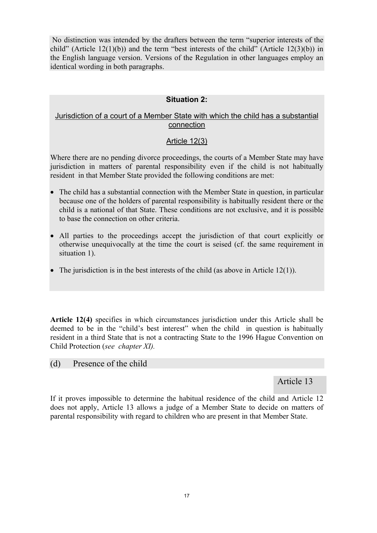No distinction was intended by the drafters between the term "superior interests of the child" (Article  $12(1)(b)$ ) and the term "best interests of the child" (Article  $12(3)(b)$ ) in the English language version. Versions of the Regulation in other languages employ an identical wording in both paragraphs.

### **Situation 2:**

### Jurisdiction of a court of a Member State with which the child has a substantial connection

### Article 12(3)

Where there are no pending divorce proceedings, the courts of a Member State may have jurisdiction in matters of parental responsibility even if the child is not habitually resident in that Member State provided the following conditions are met:

- The child has a substantial connection with the Member State in question, in particular because one of the holders of parental responsibility is habitually resident there or the child is a national of that State. These conditions are not exclusive, and it is possible to base the connection on other criteria.
- All parties to the proceedings accept the jurisdiction of that court explicitly or otherwise unequivocally at the time the court is seised (cf. the same requirement in situation 1).
- The jurisdiction is in the best interests of the child (as above in Article 12(1)).

**Article 12(4)** specifies in which circumstances jurisdiction under this Article shall be deemed to be in the "child's best interest" when the child in question is habitually resident in a third State that is not a contracting State to the 1996 Hague Convention on Child Protection (*see chapter XI).* 

### (d) Presence of the child

### Article 13

If it proves impossible to determine the habitual residence of the child and Article 12 does not apply, Article 13 allows a judge of a Member State to decide on matters of parental responsibility with regard to children who are present in that Member State.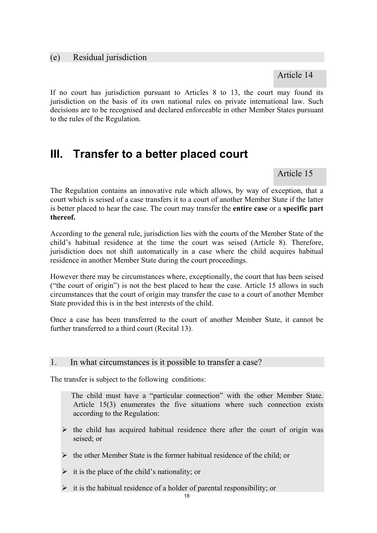#### (e) Residual jurisdiction

Article 14

If no court has jurisdiction pursuant to Articles 8 to 13, the court may found its jurisdiction on the basis of its own national rules on private international law. Such decisions are to be recognised and declared enforceable in other Member States pursuant to the rules of the Regulation.

## **III. Transfer to a better placed court**

Article 15

The Regulation contains an innovative rule which allows, by way of exception, that a court which is seised of a case transfers it to a court of another Member State if the latter is better placed to hear the case. The court may transfer the **entire case** or a **specific part thereof.**

According to the general rule, jurisdiction lies with the courts of the Member State of the child's habitual residence at the time the court was seised (Article 8). Therefore, jurisdiction does not shift automatically in a case where the child acquires habitual residence in another Member State during the court proceedings.

However there may be circumstances where, exceptionally, the court that has been seised ("the court of origin") is not the best placed to hear the case. Article 15 allows in such circumstances that the court of origin may transfer the case to a court of another Member State provided this is in the best interests of the child.

Once a case has been transferred to the court of another Member State, it cannot be further transferred to a third court (Recital 13).

#### 1. In what circumstances is it possible to transfer a case?

The transfer is subject to the following conditions:

 The child must have a "particular connection" with the other Member State. Article 15(3) enumerates the five situations where such connection exists according to the Regulation:

- $\triangleright$  the child has acquired habitual residence there after the court of origin was seised; or
- $\triangleright$  the other Member State is the former habitual residence of the child; or
- $\triangleright$  it is the place of the child's nationality; or
- $\triangleright$  it is the habitual residence of a holder of parental responsibility; or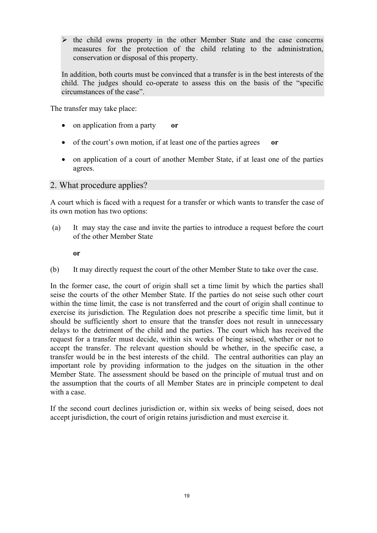$\triangleright$  the child owns property in the other Member State and the case concerns measures for the protection of the child relating to the administration, conservation or disposal of this property.

In addition, both courts must be convinced that a transfer is in the best interests of the child. The judges should co-operate to assess this on the basis of the "specific circumstances of the case".

The transfer may take place:

- on application from a party **or**
- of the court's own motion, if at least one of the parties agrees **or**
- on application of a court of another Member State, if at least one of the parties agrees.

#### 2. What procedure applies?

A court which is faced with a request for a transfer or which wants to transfer the case of its own motion has two options:

 (a) It may stay the case and invite the parties to introduce a request before the court of the other Member State

**or** 

(b) It may directly request the court of the other Member State to take over the case.

In the former case, the court of origin shall set a time limit by which the parties shall seise the courts of the other Member State. If the parties do not seise such other court within the time limit, the case is not transferred and the court of origin shall continue to exercise its jurisdiction. The Regulation does not prescribe a specific time limit, but it should be sufficiently short to ensure that the transfer does not result in unnecessary delays to the detriment of the child and the parties. The court which has received the request for a transfer must decide, within six weeks of being seised, whether or not to accept the transfer. The relevant question should be whether, in the specific case, a transfer would be in the best interests of the child. The central authorities can play an important role by providing information to the judges on the situation in the other Member State. The assessment should be based on the principle of mutual trust and on the assumption that the courts of all Member States are in principle competent to deal with a case

If the second court declines jurisdiction or, within six weeks of being seised, does not accept jurisdiction, the court of origin retains jurisdiction and must exercise it.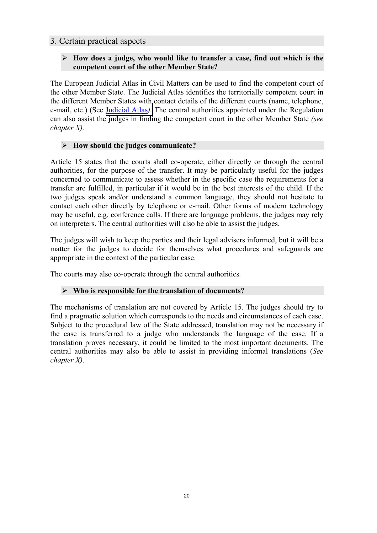### 3. Certain practical aspects

### ¾ **How does a judge, who would like to transfer a case, find out which is the competent court of the other Member State?**

The European Judicial Atlas in Civil Matters can be used to find the competent court of the other Member State. The Judicial Atlas identifies the territorially competent court in the different Member States with contact details of the different courts (name, telephone, e-mail, etc.) (See [Judicial Atlas](http://europa.eu.int/comm/justice_home/judicialatlascivil/html/index.htm)*).* The central authorities appointed under the Regulation can also assist the judges in finding the competent court in the other Member State *(see chapter X).* 

### ¾ **How should the judges communicate?**

Article 15 states that the courts shall co-operate, either directly or through the central authorities, for the purpose of the transfer. It may be particularly useful for the judges concerned to communicate to assess whether in the specific case the requirements for a transfer are fulfilled, in particular if it would be in the best interests of the child. If the two judges speak and/or understand a common language, they should not hesitate to contact each other directly by telephone or e-mail. Other forms of modern technology may be useful, e.g. conference calls. If there are language problems, the judges may rely on interpreters. The central authorities will also be able to assist the judges.

The judges will wish to keep the parties and their legal advisers informed, but it will be a matter for the judges to decide for themselves what procedures and safeguards are appropriate in the context of the particular case.

The courts may also co-operate through the central authorities*.* 

### ¾ **Who is responsible for the translation of documents?**

The mechanisms of translation are not covered by Article 15. The judges should try to find a pragmatic solution which corresponds to the needs and circumstances of each case. Subject to the procedural law of the State addressed, translation may not be necessary if the case is transferred to a judge who understands the language of the case. If a translation proves necessary, it could be limited to the most important documents. The central authorities may also be able to assist in providing informal translations (*See chapter X)*.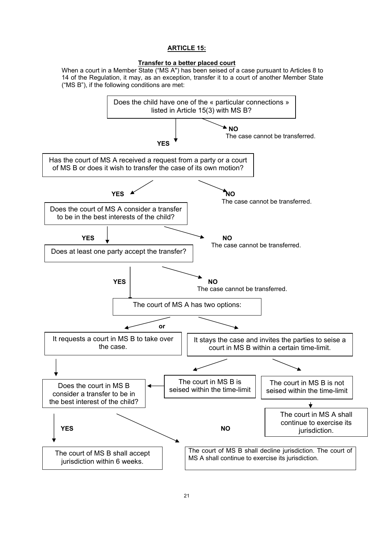#### **ARTICLE 15:**

#### **Transfer to a better placed court**

When a court in a Member State ("MS A") has been seised of a case pursuant to Articles 8 to 14 of the Regulation, it may, as an exception, transfer it to a court of another Member State ("MS B"), if the following conditions are met:

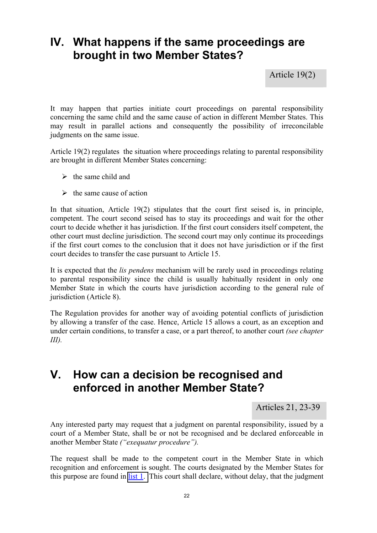## **IV. What happens if the same proceedings are brought in two Member States?**

Article 19(2)

It may happen that parties initiate court proceedings on parental responsibility concerning the same child and the same cause of action in different Member States. This may result in parallel actions and consequently the possibility of irreconcilable judgments on the same issue.

Article 19(2) regulates the situation where proceedings relating to parental responsibility are brought in different Member States concerning:

- $\triangleright$  the same child and
- $\triangleright$  the same cause of action

In that situation, Article 19(2) stipulates that the court first seised is, in principle, competent. The court second seised has to stay its proceedings and wait for the other court to decide whether it has jurisdiction. If the first court considers itself competent, the other court must decline jurisdiction. The second court may only continue its proceedings if the first court comes to the conclusion that it does not have jurisdiction or if the first court decides to transfer the case pursuant to Article 15.

It is expected that the *lis pendens* mechanism will be rarely used in proceedings relating to parental responsibility since the child is usually habitually resident in only one Member State in which the courts have jurisdiction according to the general rule of jurisdiction (Article 8).

The Regulation provides for another way of avoiding potential conflicts of jurisdiction by allowing a transfer of the case. Hence, Article 15 allows a court, as an exception and under certain conditions, to transfer a case, or a part thereof, to another court *(see chapter III).* 

## **V. How can a decision be recognised and enforced in another Member State?**

Articles 21, 23-39

Any interested party may request that a judgment on parental responsibility, issued by a court of a Member State, shall be or not be recognised and be declared enforceable in another Member State *("exequatur procedure").*

The request shall be made to the competent court in the Member State in which recognition and enforcement is sought. The courts designated by the Member States for this purpose are found in  $list 1$ . This court shall declare, without delay, that the judgment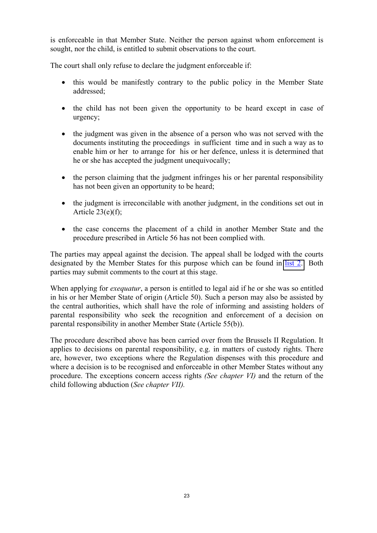is enforceable in that Member State. Neither the person against whom enforcement is sought, nor the child, is entitled to submit observations to the court.

The court shall only refuse to declare the judgment enforceable if:

- this would be manifestly contrary to the public policy in the Member State addressed;
- the child has not been given the opportunity to be heard except in case of urgency;
- the judgment was given in the absence of a person who was not served with the documents instituting the proceedings in sufficient time and in such a way as to enable him or her to arrange for his or her defence, unless it is determined that he or she has accepted the judgment unequivocally;
- the person claiming that the judgment infringes his or her parental responsibility has not been given an opportunity to be heard;
- the judgment is irreconcilable with another judgment, in the conditions set out in Article  $23(e)(f)$ ;
- the case concerns the placement of a child in another Member State and the procedure prescribed in Article 56 has not been complied with.

The parties may appeal against the decision. The appeal shall be lodged with the courts designated by the Member States for this purpose which can be found in [list 2.](http://europa.eu.int/eur-lex/lex/LexUriServ/site/en/oj/2005/c_040/c_04020050217en00020004.pdf) Both parties may submit comments to the court at this stage.

When applying for *exequatur*, a person is entitled to legal aid if he or she was so entitled in his or her Member State of origin (Article 50). Such a person may also be assisted by the central authorities, which shall have the role of informing and assisting holders of parental responsibility who seek the recognition and enforcement of a decision on parental responsibility in another Member State (Article 55(b)).

The procedure described above has been carried over from the Brussels II Regulation. It applies to decisions on parental responsibility, e.g. in matters of custody rights. There are, however, two exceptions where the Regulation dispenses with this procedure and where a decision is to be recognised and enforceable in other Member States without any procedure. The exceptions concern access rights *(See chapter VI)* and the return of the child following abduction (*See chapter VII).*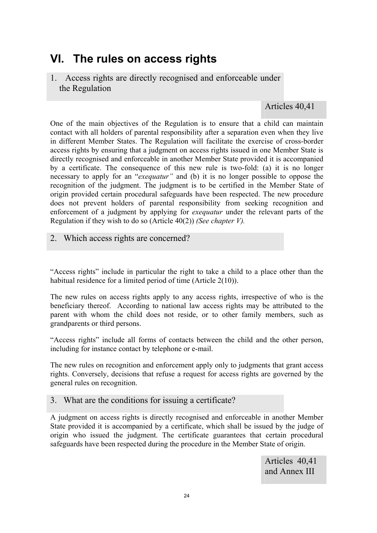## **VI. The rules on access rights**

1. Access rights are directly recognised and enforceable under the Regulation

### Articles 40,41

One of the main objectives of the Regulation is to ensure that a child can maintain contact with all holders of parental responsibility after a separation even when they live in different Member States. The Regulation will facilitate the exercise of cross-border access rights by ensuring that a judgment on access rights issued in one Member State is directly recognised and enforceable in another Member State provided it is accompanied by a certificate. The consequence of this new rule is two-fold: (a) it is no longer necessary to apply for an "*exequatur"* and (b) it is no longer possible to oppose the recognition of the judgment. The judgment is to be certified in the Member State of origin provided certain procedural safeguards have been respected. The new procedure does not prevent holders of parental responsibility from seeking recognition and enforcement of a judgment by applying for *exequatur* under the relevant parts of the Regulation if they wish to do so (Article 40(2)) *(See chapter V).*

2. Which access rights are concerned?

"Access rights" include in particular the right to take a child to a place other than the habitual residence for a limited period of time (Article 2(10)).

The new rules on access rights apply to any access rights, irrespective of who is the beneficiary thereof. According to national law access rights may be attributed to the parent with whom the child does not reside, or to other family members, such as grandparents or third persons.

"Access rights" include all forms of contacts between the child and the other person, including for instance contact by telephone or e-mail.

The new rules on recognition and enforcement apply only to judgments that grant access rights. Conversely, decisions that refuse a request for access rights are governed by the general rules on recognition.

### 3. What are the conditions for issuing a certificate?

A judgment on access rights is directly recognised and enforceable in another Member State provided it is accompanied by a certificate, which shall be issued by the judge of origin who issued the judgment. The certificate guarantees that certain procedural safeguards have been respected during the procedure in the Member State of origin.

> Articles 40,41 and Annex III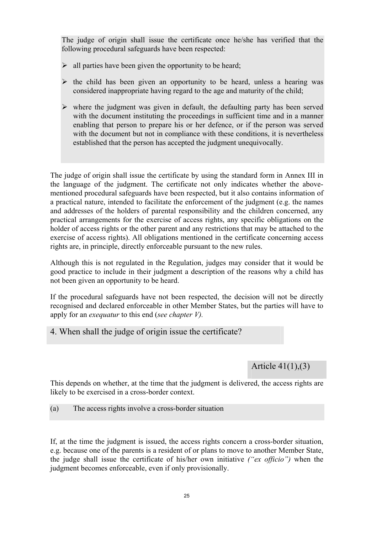The judge of origin shall issue the certificate once he/she has verified that the following procedural safeguards have been respected:

- $\triangleright$  all parties have been given the opportunity to be heard;
- $\triangleright$  the child has been given an opportunity to be heard, unless a hearing was considered inappropriate having regard to the age and maturity of the child;
- $\triangleright$  where the judgment was given in default, the defaulting party has been served with the document instituting the proceedings in sufficient time and in a manner enabling that person to prepare his or her defence, or if the person was served with the document but not in compliance with these conditions, it is nevertheless established that the person has accepted the judgment unequivocally.

The judge of origin shall issue the certificate by using the standard form in Annex III in the language of the judgment. The certificate not only indicates whether the abovementioned procedural safeguards have been respected, but it also contains information of a practical nature, intended to facilitate the enforcement of the judgment (e.g. the names and addresses of the holders of parental responsibility and the children concerned, any practical arrangements for the exercise of access rights, any specific obligations on the holder of access rights or the other parent and any restrictions that may be attached to the exercise of access rights). All obligations mentioned in the certificate concerning access rights are, in principle, directly enforceable pursuant to the new rules.

Although this is not regulated in the Regulation, judges may consider that it would be good practice to include in their judgment a description of the reasons why a child has not been given an opportunity to be heard.

If the procedural safeguards have not been respected, the decision will not be directly recognised and declared enforceable in other Member States, but the parties will have to apply for an *exequatur* to this end (*see chapter V).*

4. When shall the judge of origin issue the certificate?

Article 41(1),(3)

This depends on whether, at the time that the judgment is delivered, the access rights are likely to be exercised in a cross-border context.

(a) The access rights involve a cross-border situation

If, at the time the judgment is issued, the access rights concern a cross-border situation, e.g. because one of the parents is a resident of or plans to move to another Member State, the judge shall issue the certificate of his/her own initiative *("ex officio")* when the judgment becomes enforceable, even if only provisionally.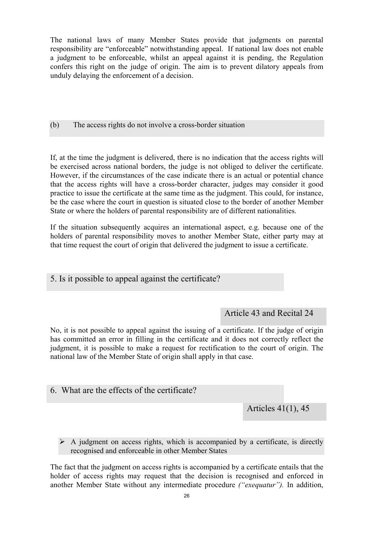The national laws of many Member States provide that judgments on parental responsibility are "enforceable" notwithstanding appeal. If national law does not enable a judgment to be enforceable, whilst an appeal against it is pending, the Regulation confers this right on the judge of origin. The aim is to prevent dilatory appeals from unduly delaying the enforcement of a decision.

(b) The access rights do not involve a cross-border situation

If, at the time the judgment is delivered, there is no indication that the access rights will be exercised across national borders, the judge is not obliged to deliver the certificate. However, if the circumstances of the case indicate there is an actual or potential chance that the access rights will have a cross-border character, judges may consider it good practice to issue the certificate at the same time as the judgment. This could, for instance, be the case where the court in question is situated close to the border of another Member State or where the holders of parental responsibility are of different nationalities.

If the situation subsequently acquires an international aspect, e.g. because one of the holders of parental responsibility moves to another Member State, either party may at that time request the court of origin that delivered the judgment to issue a certificate.

5. Is it possible to appeal against the certificate?

Article 43 and Recital 24

No, it is not possible to appeal against the issuing of a certificate. If the judge of origin has committed an error in filling in the certificate and it does not correctly reflect the judgment, it is possible to make a request for rectification to the court of origin. The national law of the Member State of origin shall apply in that case.

6. What are the effects of the certificate?

Articles 41(1), 45

 $\triangleright$  A judgment on access rights, which is accompanied by a certificate, is directly recognised and enforceable in other Member States

The fact that the judgment on access rights is accompanied by a certificate entails that the holder of access rights may request that the decision is recognised and enforced in another Member State without any intermediate procedure *("exequatur").* In addition,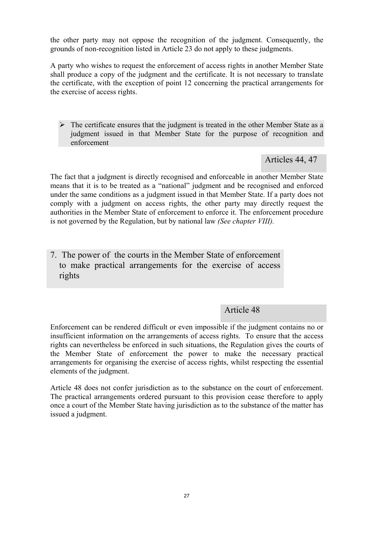the other party may not oppose the recognition of the judgment. Consequently, the grounds of non-recognition listed in Article 23 do not apply to these judgments.

A party who wishes to request the enforcement of access rights in another Member State shall produce a copy of the judgment and the certificate. It is not necessary to translate the certificate, with the exception of point 12 concerning the practical arrangements for the exercise of access rights.

 $\triangleright$  The certificate ensures that the judgment is treated in the other Member State as a judgment issued in that Member State for the purpose of recognition and enforcement

Articles 44, 47

The fact that a judgment is directly recognised and enforceable in another Member State means that it is to be treated as a "national" judgment and be recognised and enforced under the same conditions as a judgment issued in that Member State. If a party does not comply with a judgment on access rights, the other party may directly request the authorities in the Member State of enforcement to enforce it. The enforcement procedure is not governed by the Regulation, but by national law *(See chapter VIII).*

7. The power of the courts in the Member State of enforcement to make practical arrangements for the exercise of access rights

## Article 48

Enforcement can be rendered difficult or even impossible if the judgment contains no or insufficient information on the arrangements of access rights. To ensure that the access rights can nevertheless be enforced in such situations, the Regulation gives the courts of the Member State of enforcement the power to make the necessary practical arrangements for organising the exercise of access rights, whilst respecting the essential elements of the judgment.

Article 48 does not confer jurisdiction as to the substance on the court of enforcement. The practical arrangements ordered pursuant to this provision cease therefore to apply once a court of the Member State having jurisdiction as to the substance of the matter has issued a judgment.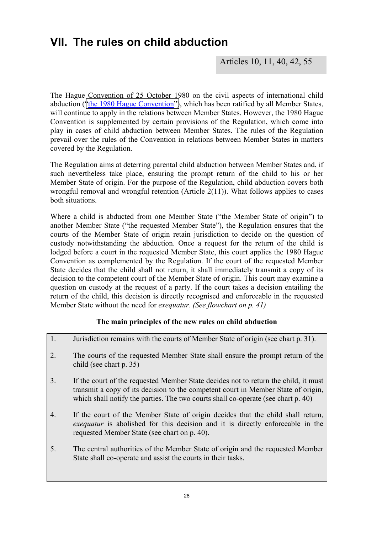## **VII. The rules on child abduction**

Articles 10, 11, 40, 42, 55

The Hague Convention of 25 October 1980 on the civil aspects of international child abduction (["the 1980 Hague Convention"\)](http://www.hcch.net/index_en.php), which has been ratified by all Member States, will continue to apply in the relations between Member States. However, the 1980 Hague Convention is supplemented by certain provisions of the Regulation, which come into play in cases of child abduction between Member States. The rules of the Regulation prevail over the rules of the Convention in relations between Member States in matters covered by the Regulation.

The Regulation aims at deterring parental child abduction between Member States and, if such nevertheless take place, ensuring the prompt return of the child to his or her Member State of origin. For the purpose of the Regulation, child abduction covers both wrongful removal and wrongful retention (Article  $2(11)$ ). What follows applies to cases both situations.

Where a child is abducted from one Member State ("the Member State of origin") to another Member State ("the requested Member State"), the Regulation ensures that the courts of the Member State of origin retain jurisdiction to decide on the question of custody notwithstanding the abduction. Once a request for the return of the child is lodged before a court in the requested Member State, this court applies the 1980 Hague Convention as complemented by the Regulation. If the court of the requested Member State decides that the child shall not return, it shall immediately transmit a copy of its decision to the competent court of the Member State of origin. This court may examine a question on custody at the request of a party. If the court takes a decision entailing the return of the child, this decision is directly recognised and enforceable in the requested Member State without the need for *exequatur*. *(See flowchart on p. 41)* 

### **The main principles of the new rules on child abduction**

- 1. Jurisdiction remains with the courts of Member State of origin (see chart p. 31).
- 2. The courts of the requested Member State shall ensure the prompt return of the child (see chart p. 35)
- 3. If the court of the requested Member State decides not to return the child, it must transmit a copy of its decision to the competent court in Member State of origin, which shall notify the parties. The two courts shall co-operate (see chart p. 40)
- 4. If the court of the Member State of origin decides that the child shall return, *exequatur* is abolished for this decision and it is directly enforceable in the requested Member State (see chart on p. 40).
- 5. The central authorities of the Member State of origin and the requested Member State shall co-operate and assist the courts in their tasks.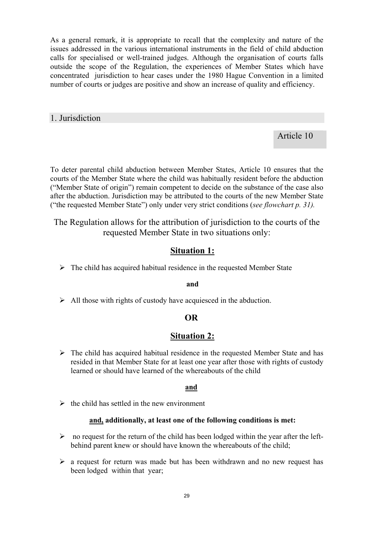As a general remark, it is appropriate to recall that the complexity and nature of the issues addressed in the various international instruments in the field of child abduction calls for specialised or well-trained judges. Although the organisation of courts falls outside the scope of the Regulation, the experiences of Member States which have concentrated jurisdiction to hear cases under the 1980 Hague Convention in a limited number of courts or judges are positive and show an increase of quality and efficiency.

### 1. Jurisdiction

Article 10

To deter parental child abduction between Member States, Article 10 ensures that the courts of the Member State where the child was habitually resident before the abduction ("Member State of origin") remain competent to decide on the substance of the case also after the abduction. Jurisdiction may be attributed to the courts of the new Member State ("the requested Member State") only under very strict conditions (*see flowchart p. 31).* 

The Regulation allows for the attribution of jurisdiction to the courts of the requested Member State in two situations only:

## **Situation 1:**

 $\triangleright$  The child has acquired habitual residence in the requested Member State

#### **and**

 $\triangleright$  All those with rights of custody have acquiesced in the abduction.

### **OR**

### **Situation 2:**

 $\triangleright$  The child has acquired habitual residence in the requested Member State and has resided in that Member State for at least one year after those with rights of custody learned or should have learned of the whereabouts of the child

### **and**

 $\triangleright$  the child has settled in the new environment

### **and, additionally, at least one of the following conditions is met:**

- $\triangleright$  no request for the return of the child has been lodged within the year after the leftbehind parent knew or should have known the whereabouts of the child;
- $\triangleright$  a request for return was made but has been withdrawn and no new request has been lodged within that year;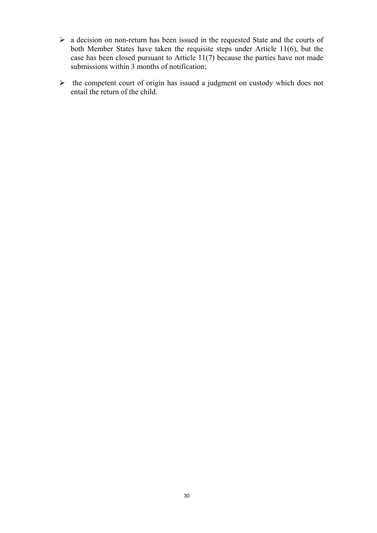- $\triangleright$  a decision on non-return has been issued in the requested State and the courts of both Member States have taken the requisite steps under Article 11(6), but the case has been closed pursuant to Article 11(7) because the parties have not made submissions within 3 months of notification;
- $\triangleright$  the competent court of origin has issued a judgment on custody which does not entail the return of the child.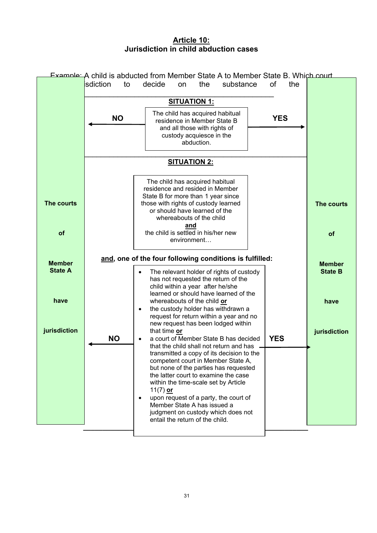### **Article 10: Jurisdiction in child abduction cases**

|                                         |                                     | <b>Example:</b> A child is abducted from Member State A to Member State B. Which court                                                                                                                                                                                                                       |            |                                         |
|-----------------------------------------|-------------------------------------|--------------------------------------------------------------------------------------------------------------------------------------------------------------------------------------------------------------------------------------------------------------------------------------------------------------|------------|-----------------------------------------|
|                                         | isdiction<br>to                     | decide<br>the<br>substance<br>on                                                                                                                                                                                                                                                                             | 0f<br>the  |                                         |
|                                         |                                     | <b>SITUATION 1:</b>                                                                                                                                                                                                                                                                                          |            |                                         |
|                                         | <b>NO</b>                           | The child has acquired habitual<br>residence in Member State B<br>and all those with rights of<br>custody acquiesce in the<br>abduction.                                                                                                                                                                     | <b>YES</b> |                                         |
|                                         |                                     |                                                                                                                                                                                                                                                                                                              |            |                                         |
| The courts                              |                                     | The child has acquired habitual<br>residence and resided in Member<br>State B for more than 1 year since<br>those with rights of custody learned<br>or should have learned of the<br>whereabouts of the child                                                                                                |            | The courts                              |
| of                                      |                                     | and<br>the child is settled in his/her new<br>environment                                                                                                                                                                                                                                                    |            | of                                      |
| <b>Member</b><br><b>State A</b><br>have |                                     | and, one of the four following conditions is fulfilled:<br>The relevant holder of rights of custody<br>has not requested the return of the<br>child within a year after he/she<br>learned or should have learned of the<br>whereabouts of the child or                                                       |            | <b>Member</b><br><b>State B</b><br>have |
| jurisdiction                            | $\bullet$<br><b>NO</b><br>$\bullet$ | the custody holder has withdrawn a<br>request for return within a year and no<br>new request has been lodged within<br>that time or<br>a court of Member State B has decided<br>that the child shall not return and has -<br>transmitted a copy of its decision to the<br>competent court in Member State A, | <b>YES</b> | jurisdiction                            |
|                                         | $\bullet$                           | but none of the parties has requested<br>the latter court to examine the case<br>within the time-scale set by Article<br>11(7) or<br>upon request of a party, the court of<br>Member State A has issued a<br>judgment on custody which does not<br>entail the return of the child.                           |            |                                         |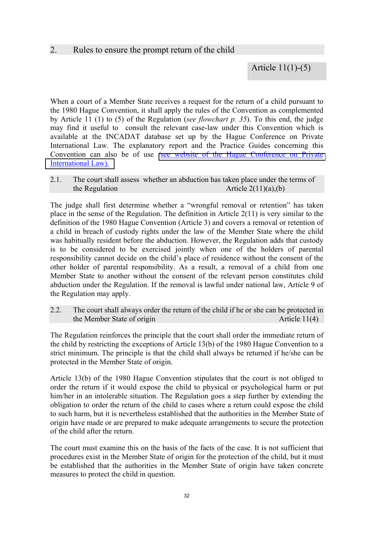### 2. Rules to ensure the prompt return of the child

## Article 11(1)-(5)

When a court of a Member State receives a request for the return of a child pursuant to the 1980 Hague Convention, it shall apply the rules of the Convention as complemented by Article 11 (1) to (5) of the Regulation (*see flowchart p. 35*). To this end, the judge may find it useful to consult the relevant case-law under this Convention which is available at the INCADAT database set up by the Hague Conference on Private International Law. The explanatory report and the Practice Guides concerning this Convention can also be of use *(*[see website of the Hague Conference on Private](http://www.hcch.net/index_en.php)  [International Law\).](http://www.hcch.net/index_en.php) 

2.1. The court shall assess whether an abduction has taken place under the terms of the Regulation  $\Delta$  Article 2(11)(a),(b)

The judge shall first determine whether a "wrongful removal or retention" has taken place in the sense of the Regulation. The definition in Article 2(11) is very similar to the definition of the 1980 Hague Convention (Article 3) and covers a removal or retention of a child in breach of custody rights under the law of the Member State where the child was habitually resident before the abduction. However, the Regulation adds that custody is to be considered to be exercised jointly when one of the holders of parental responsibility cannot decide on the child's place of residence without the consent of the other holder of parental responsibility. As a result, a removal of a child from one Member State to another without the consent of the relevant person constitutes child abduction under the Regulation. If the removal is lawful under national law, Article 9 of the Regulation may apply.

2.2. The court shall always order the return of the child if he or she can be protected in the Member State of origin Article 11(4)

The Regulation reinforces the principle that the court shall order the immediate return of the child by restricting the exceptions of Article 13(b) of the 1980 Hague Convention to a strict minimum. The principle is that the child shall always be returned if he/she can be protected in the Member State of origin.

Article 13(b) of the 1980 Hague Convention stipulates that the court is not obliged to order the return if it would expose the child to physical or psychological harm or put him/her in an intolerable situation. The Regulation goes a step further by extending the obligation to order the return of the child to cases where a return could expose the child to such harm, but it is nevertheless established that the authorities in the Member State of origin have made or are prepared to make adequate arrangements to secure the protection of the child after the return.

The court must examine this on the basis of the facts of the case. It is not sufficient that procedures exist in the Member State of origin for the protection of the child, but it must be established that the authorities in the Member State of origin have taken concrete measures to protect the child in question.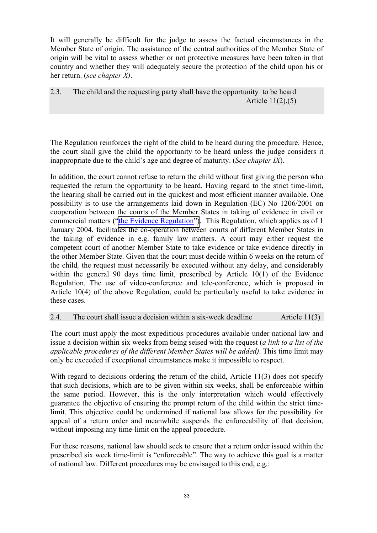It will generally be difficult for the judge to assess the factual circumstances in the Member State of origin. The assistance of the central authorities of the Member State of origin will be vital to assess whether or not protective measures have been taken in that country and whether they will adequately secure the protection of the child upon his or her return. (*see chapter X)*.

2.3. The child and the requesting party shall have the opportunity to be heard Article 11(2),(5)

The Regulation reinforces the right of the child to be heard during the procedure. Hence, the court shall give the child the opportunity to be heard unless the judge considers it inappropriate due to the child's age and degree of maturity. (*See chapter IX*).

In addition, the court cannot refuse to return the child without first giving the person who requested the return the opportunity to be heard. Having regard to the strict time-limit, the hearing shall be carried out in the quickest and most efficient manner available. One possibility is to use the arrangements laid down in Regulation (EC) No 1206/2001 on cooperation between the courts of the Member States in taking of evidence in civil or commercial matters (["the Evidence Regulation"\)](http://europa.eu.int/servlet/portail/RenderServlet?search=RefPub&lg=en&nb_docs=25&domain=&in_force=NO&year=2001&month=6&day=&coll=JOL&nu_jo=174&page=1). This Regulation, which applies as of 1 January 2004, facilitates the co-operation between courts of different Member States in the taking of evidence in e.g. family law matters. A court may either request the competent court of another Member State to take evidence or take evidence directly in the other Member State. Given that the court must decide within 6 weeks on the return of the child*,* the request must necessarily be executed without any delay, and considerably within the general 90 days time limit, prescribed by Article 10(1) of the Evidence Regulation. The use of video-conference and tele-conference, which is proposed in Article 10(4) of the above Regulation, could be particularly useful to take evidence in these cases.

#### 2.4. The court shall issue a decision within a six-week deadline Article 11(3)

The court must apply the most expeditious procedures available under national law and issue a decision within six weeks from being seised with the request (*a link to a list of the applicable procedures of the different Member States will be added)*. This time limit may only be exceeded if exceptional circumstances make it impossible to respect.

With regard to decisions ordering the return of the child, Article 11(3) does not specify that such decisions, which are to be given within six weeks, shall be enforceable within the same period. However, this is the only interpretation which would effectively guarantee the objective of ensuring the prompt return of the child within the strict timelimit. This objective could be undermined if national law allows for the possibility for appeal of a return order and meanwhile suspends the enforceability of that decision, without imposing any time-limit on the appeal procedure.

For these reasons, national law should seek to ensure that a return order issued within the prescribed six week time-limit is "enforceable". The way to achieve this goal is a matter of national law. Different procedures may be envisaged to this end, e.g.: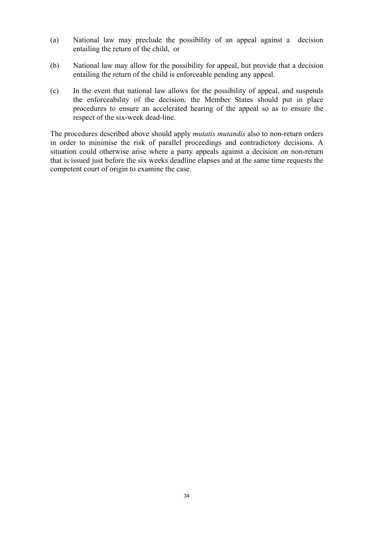- (a) National law may preclude the possibility of an appeal against a decision entailing the return of the child, or
- (b) National law may allow for the possibility for appeal, but provide that a decision entailing the return of the child is enforceable pending any appeal.
- (c) In the event that national law allows for the possibility of appeal, and suspends the enforceability of the decision, the Member States should put in place procedures to ensure an accelerated hearing of the appeal so as to ensure the respect of the six-week dead-line.

The procedures described above should apply *mutatis mutandis* also to non-return orders in order to minimise the risk of parallel proceedings and contradictory decisions. A situation could otherwise arise where a party appeals against a decision on non-return that is issued just before the six weeks deadline elapses and at the same time requests the competent court of origin to examine the case.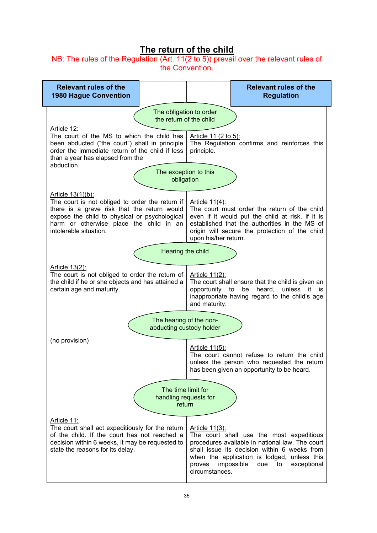## **The return of the child**

NB: The rules of the Regulation (Art. 11(2 to 5)) prevail over the relevant rules of the Convention.

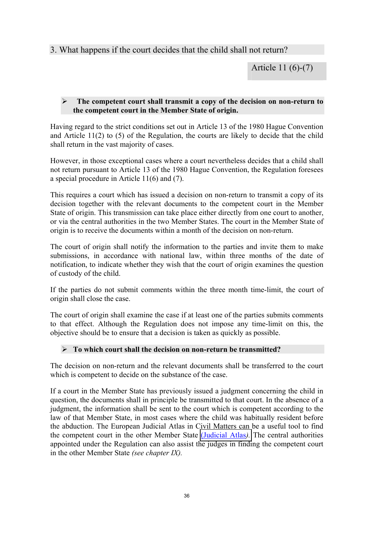## 3. What happens if the court decides that the child shall not return?

Article 11 (6)-(7)

#### ¾ **The competent court shall transmit a copy of the decision on non-return to the competent court in the Member State of origin.**

Having regard to the strict conditions set out in Article 13 of the 1980 Hague Convention and Article 11(2) to (5) of the Regulation, the courts are likely to decide that the child shall return in the vast majority of cases.

However, in those exceptional cases where a court nevertheless decides that a child shall not return pursuant to Article 13 of the 1980 Hague Convention, the Regulation foresees a special procedure in Article 11(6) and (7).

This requires a court which has issued a decision on non-return to transmit a copy of its decision together with the relevant documents to the competent court in the Member State of origin. This transmission can take place either directly from one court to another, or via the central authorities in the two Member States. The court in the Member State of origin is to receive the documents within a month of the decision on non-return.

The court of origin shall notify the information to the parties and invite them to make submissions, in accordance with national law, within three months of the date of notification, to indicate whether they wish that the court of origin examines the question of custody of the child.

If the parties do not submit comments within the three month time-limit, the court of origin shall close the case.

The court of origin shall examine the case if at least one of the parties submits comments to that effect. Although the Regulation does not impose any time-limit on this, the objective should be to ensure that a decision is taken as quickly as possible.

### ¾ **To which court shall the decision on non-return be transmitted?**

The decision on non-return and the relevant documents shall be transferred to the court which is competent to decide on the substance of the case.

If a court in the Member State has previously issued a judgment concerning the child in question, the documents shall in principle be transmitted to that court. In the absence of a judgment, the information shall be sent to the court which is competent according to the law of that Member State, in most cases where the child was habitually resident before the abduction. The European Judicial Atlas in Civil Matters can be a useful tool to find the competent court in the other Member State [\(Judicial Atlas](http://europa.eu.int/comm/justice_home/judicialatlascivil/html/index.htm)*).* The central authorities appointed under the Regulation can also assist the judges in finding the competent court in the other Member State *(see chapter IX).*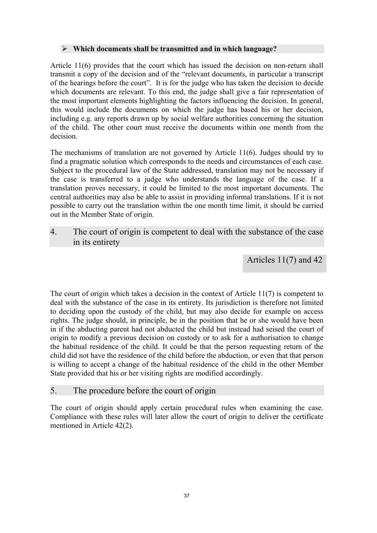#### ¾ **Which documents shall be transmitted and in which language?**

Article 11(6) provides that the court which has issued the decision on non-return shall transmit a copy of the decision and of the "relevant documents, in particular a transcript of the hearings before the court". It is for the judge who has taken the decision to decide which documents are relevant. To this end, the judge shall give a fair representation of the most important elements highlighting the factors influencing the decision. In general, this would include the documents on which the judge has based his or her decision, including e.g. any reports drawn up by social welfare authorities concerning the situation of the child. The other court must receive the documents within one month from the decision.

The mechanisms of translation are not governed by Article 11(6). Judges should try to find a pragmatic solution which corresponds to the needs and circumstances of each case. Subject to the procedural law of the State addressed, translation may not be necessary if the case is transferred to a judge who understands the language of the case. If a translation proves necessary, it could be limited to the most important documents. The central authorities may also be able to assist in providing informal translations. If it is not possible to carry out the translation within the one month time limit, it should be carried out in the Member State of origin.

4. The court of origin is competent to deal with the substance of the case in its entirety

Articles 11(7) and 42

The court of origin which takes a decision in the context of Article 11(7) is competent to deal with the substance of the case in its entirety. Its jurisdiction is therefore not limited to deciding upon the custody of the child, but may also decide for example on access rights. The judge should, in principle, be in the position that he or she would have been in if the abducting parent had not abducted the child but instead had seised the court of origin to modify a previous decision on custody or to ask for a authorisation to change the habitual residence of the child. It could be that the person requesting return of the child did not have the residence of the child before the abduction, or even that that person is willing to accept a change of the habitual residence of the child in the other Member State provided that his or her visiting rights are modified accordingly.

### 5. The procedure before the court of origin

The court of origin should apply certain procedural rules when examining the case. Compliance with these rules will later allow the court of origin to deliver the certificate mentioned in Article 42(2).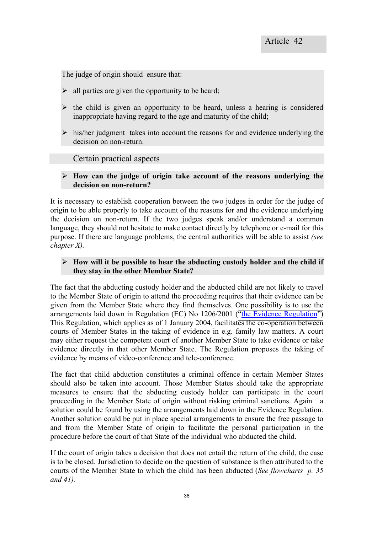The judge of origin should ensure that:

- $\triangleright$  all parties are given the opportunity to be heard;
- $\triangleright$  the child is given an opportunity to be heard, unless a hearing is considered inappropriate having regard to the age and maturity of the child;
- $\triangleright$  his/her judgment takes into account the reasons for and evidence underlying the decision on non-return.

### Certain practical aspects

¾ **How can the judge of origin take account of the reasons underlying the decision on non-return?** 

It is necessary to establish cooperation between the two judges in order for the judge of origin to be able properly to take account of the reasons for and the evidence underlying the decision on non-return. If the two judges speak and/or understand a common language, they should not hesitate to make contact directly by telephone or e-mail for this purpose. If there are language problems, the central authorities will be able to assist *(see chapter X).*

### $\triangleright$  How will it be possible to hear the abducting custody holder and the child if **they stay in the other Member State?**

The fact that the abducting custody holder and the abducted child are not likely to travel to the Member State of origin to attend the proceeding requires that their evidence can be given from the Member State where they find themselves. One possibility is to use the arrangements laid down in Regulation (EC) No 1206/2001 (["the Evidence Regulation"\)](http://europa.eu.int/servlet/portail/RenderServlet?search=RefPub&lg=en&nb_docs=25&domain=&in_force=NO&year=2001&month=6&day=&coll=JOL&nu_jo=174&page=1) This Regulation, which applies as of 1 January 2004, facilitates the co-operation between courts of Member States in the taking of evidence in e.g. family law matters. A court may either request the competent court of another Member State to take evidence or take evidence directly in that other Member State. The Regulation proposes the taking of evidence by means of video-conference and tele-conference.

The fact that child abduction constitutes a criminal offence in certain Member States should also be taken into account. Those Member States should take the appropriate measures to ensure that the abducting custody holder can participate in the court proceeding in the Member State of origin without risking criminal sanctions. Again a solution could be found by using the arrangements laid down in the Evidence Regulation. Another solution could be put in place special arrangements to ensure the free passage to and from the Member State of origin to facilitate the personal participation in the procedure before the court of that State of the individual who abducted the child.

If the court of origin takes a decision that does not entail the return of the child, the case is to be closed. Jurisdiction to decide on the question of substance is then attributed to the courts of the Member State to which the child has been abducted (*See flowcharts p. 35 and 41).*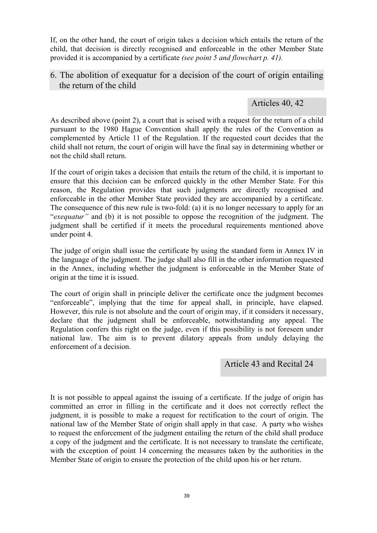If, on the other hand, the court of origin takes a decision which entails the return of the child, that decision is directly recognised and enforceable in the other Member State provided it is accompanied by a certificate *(see point 5 and flowchart p. 41).*

## 6. The abolition of exequatur for a decision of the court of origin entailing the return of the child

## Articles 40, 42

As described above (point 2), a court that is seised with a request for the return of a child pursuant to the 1980 Hague Convention shall apply the rules of the Convention as complemented by Article 11 of the Regulation. If the requested court decides that the child shall not return, the court of origin will have the final say in determining whether or not the child shall return.

If the court of origin takes a decision that entails the return of the child, it is important to ensure that this decision can be enforced quickly in the other Member State. For this reason, the Regulation provides that such judgments are directly recognised and enforceable in the other Member State provided they are accompanied by a certificate. The consequence of this new rule is two-fold: (a) it is no longer necessary to apply for an "*exequatur"* and (b) it is not possible to oppose the recognition of the judgment. The judgment shall be certified if it meets the procedural requirements mentioned above under point 4.

The judge of origin shall issue the certificate by using the standard form in Annex IV in the language of the judgment. The judge shall also fill in the other information requested in the Annex, including whether the judgment is enforceable in the Member State of origin at the time it is issued.

The court of origin shall in principle deliver the certificate once the judgment becomes "enforceable", implying that the time for appeal shall, in principle, have elapsed. However, this rule is not absolute and the court of origin may, if it considers it necessary, declare that the judgment shall be enforceable, notwithstanding any appeal. The Regulation confers this right on the judge, even if this possibility is not foreseen under national law. The aim is to prevent dilatory appeals from unduly delaying the enforcement of a decision.

## Article 43 and Recital 24

It is not possible to appeal against the issuing of a certificate. If the judge of origin has committed an error in filling in the certificate and it does not correctly reflect the judgment, it is possible to make a request for rectification to the court of origin. The national law of the Member State of origin shall apply in that case. A party who wishes to request the enforcement of the judgment entailing the return of the child shall produce a copy of the judgment and the certificate. It is not necessary to translate the certificate, with the exception of point 14 concerning the measures taken by the authorities in the Member State of origin to ensure the protection of the child upon his or her return.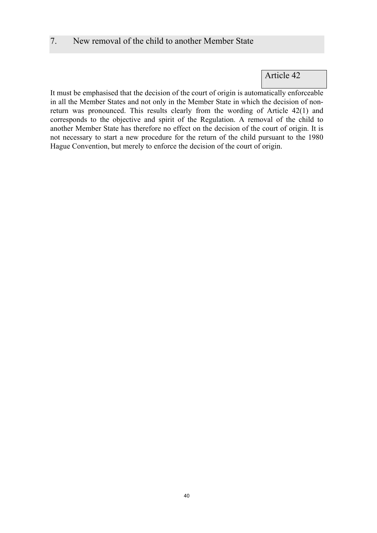### 7. New removal of the child to another Member State

Article 42

It must be emphasised that the decision of the court of origin is automatically enforceable in all the Member States and not only in the Member State in which the decision of nonreturn was pronounced. This results clearly from the wording of Article 42(1) and corresponds to the objective and spirit of the Regulation. A removal of the child to another Member State has therefore no effect on the decision of the court of origin. It is not necessary to start a new procedure for the return of the child pursuant to the 1980 Hague Convention, but merely to enforce the decision of the court of origin.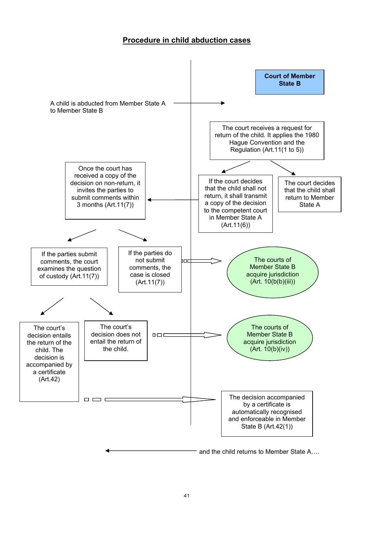### **Procedure in child abduction cases**

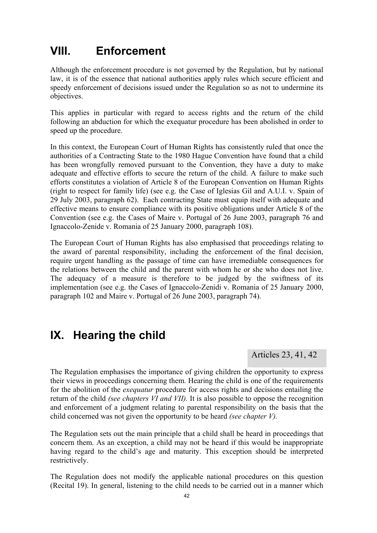## **VIII. Enforcement**

Although the enforcement procedure is not governed by the Regulation, but by national law, it is of the essence that national authorities apply rules which secure efficient and speedy enforcement of decisions issued under the Regulation so as not to undermine its objectives.

This applies in particular with regard to access rights and the return of the child following an abduction for which the exequatur procedure has been abolished in order to speed up the procedure.

In this context, the European Court of Human Rights has consistently ruled that once the authorities of a Contracting State to the 1980 Hague Convention have found that a child has been wrongfully removed pursuant to the Convention, they have a duty to make adequate and effective efforts to secure the return of the child. A failure to make such efforts constitutes a violation of Article 8 of the European Convention on Human Rights (right to respect for family life) (see e.g. the Case of Iglesias Gil and A.U.I. v. Spain of 29 July 2003, paragraph 62). Each contracting State must equip itself with adequate and effective means to ensure compliance with its positive obligations under Article 8 of the Convention (see e.g. the Cases of Maire v. Portugal of 26 June 2003, paragraph 76 and Ignaccolo-Zenide v. Romania of 25 January 2000, paragraph 108).

The European Court of Human Rights has also emphasised that proceedings relating to the award of parental responsibility, including the enforcement of the final decision, require urgent handling as the passage of time can have irremediable consequences for the relations between the child and the parent with whom he or she who does not live. The adequacy of a measure is therefore to be judged by the swiftness of its implementation (see e.g. the Cases of Ignaccolo-Zenidi v. Romania of 25 January 2000, paragraph 102 and Maire v. Portugal of 26 June 2003, paragraph 74).

## **IX. Hearing the child**

Articles 23, 41, 42

The Regulation emphasises the importance of giving children the opportunity to express their views in proceedings concerning them. Hearing the child is one of the requirements for the abolition of the *exequatur* procedure for access rights and decisions entailing the return of the child *(see chapters VI and VII).* It is also possible to oppose the recognition and enforcement of a judgment relating to parental responsibility on the basis that the child concerned was not given the opportunity to be heard *(see chapter V).* 

The Regulation sets out the main principle that a child shall be heard in proceedings that concern them. As an exception, a child may not be heard if this would be inappropriate having regard to the child's age and maturity. This exception should be interpreted restrictively.

The Regulation does not modify the applicable national procedures on this question (Recital 19). In general, listening to the child needs to be carried out in a manner which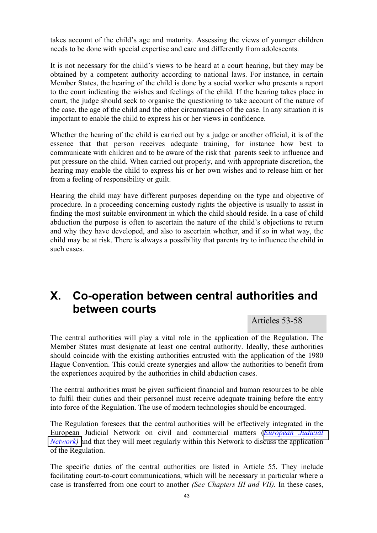takes account of the child's age and maturity. Assessing the views of younger children needs to be done with special expertise and care and differently from adolescents.

It is not necessary for the child's views to be heard at a court hearing, but they may be obtained by a competent authority according to national laws. For instance, in certain Member States, the hearing of the child is done by a social worker who presents a report to the court indicating the wishes and feelings of the child. If the hearing takes place in court, the judge should seek to organise the questioning to take account of the nature of the case, the age of the child and the other circumstances of the case. In any situation it is important to enable the child to express his or her views in confidence.

Whether the hearing of the child is carried out by a judge or another official, it is of the essence that that person receives adequate training, for instance how best to communicate with children and to be aware of the risk that parents seek to influence and put pressure on the child. When carried out properly, and with appropriate discretion, the hearing may enable the child to express his or her own wishes and to release him or her from a feeling of responsibility or guilt.

Hearing the child may have different purposes depending on the type and objective of procedure. In a proceeding concerning custody rights the objective is usually to assist in finding the most suitable environment in which the child should reside. In a case of child abduction the purpose is often to ascertain the nature of the child's objections to return and why they have developed, and also to ascertain whether, and if so in what way, the child may be at risk. There is always a possibility that parents try to influence the child in such cases.

## **X. Co-operation between central authorities and between courts**

Articles 53-58

The central authorities will play a vital role in the application of the Regulation. The Member States must designate at least one central authority. Ideally, these authorities should coincide with the existing authorities entrusted with the application of the 1980 Hague Convention. This could create synergies and allow the authorities to benefit from the experiences acquired by the authorities in child abduction cases.

The central authorities must be given sufficient financial and human resources to be able to fulfil their duties and their personnel must receive adequate training before the entry into force of the Regulation. The use of modern technologies should be encouraged.

The Regulation foresees that the central authorities will be effectively integrated in the European Judicial Network on civil and commercial matters (*[European Judicial](http://europa.eu.int/comm/justice_home/ejn/)  Network*) and that they will meet regularly within this Network to discuss the application of the Regulation.

The specific duties of the central authorities are listed in Article 55. They include facilitating court-to-court communications, which will be necessary in particular where a case is transferred from one court to another *(See Chapters III and VII).* In these cases,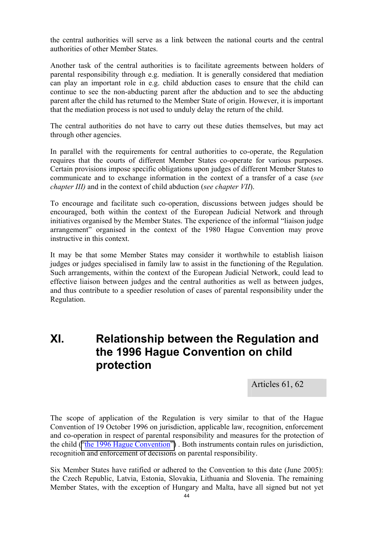the central authorities will serve as a link between the national courts and the central authorities of other Member States.

Another task of the central authorities is to facilitate agreements between holders of parental responsibility through e.g. mediation. It is generally considered that mediation can play an important role in e.g. child abduction cases to ensure that the child can continue to see the non-abducting parent after the abduction and to see the abducting parent after the child has returned to the Member State of origin. However, it is important that the mediation process is not used to unduly delay the return of the child.

The central authorities do not have to carry out these duties themselves, but may act through other agencies.

In parallel with the requirements for central authorities to co-operate, the Regulation requires that the courts of different Member States co-operate for various purposes. Certain provisions impose specific obligations upon judges of different Member States to communicate and to exchange information in the context of a transfer of a case (*see chapter III)* and in the context of child abduction (*see chapter VII*).

To encourage and facilitate such co-operation, discussions between judges should be encouraged, both within the context of the European Judicial Network and through initiatives organised by the Member States. The experience of the informal "liaison judge arrangement" organised in the context of the 1980 Hague Convention may prove instructive in this context.

It may be that some Member States may consider it worthwhile to establish liaison judges or judges specialised in family law to assist in the functioning of the Regulation. Such arrangements, within the context of the European Judicial Network, could lead to effective liaison between judges and the central authorities as well as between judges, and thus contribute to a speedier resolution of cases of parental responsibility under the Regulation.

## **XI. Relationship between the Regulation and the 1996 Hague Convention on child protection**

Articles 61, 62

The scope of application of the Regulation is very similar to that of the Hague Convention of 19 October 1996 on jurisdiction, applicable law, recognition, enforcement and co-operation in respect of parental responsibility and measures for the protection of the child [\("the 1996 Hague Convention"\)](http://www.hcch.net/index_en.php). Both instruments contain rules on jurisdiction, recognition and enforcement of decisions on parental responsibility.

Six Member States have ratified or adhered to the Convention to this date (June 2005): the Czech Republic, Latvia, Estonia, Slovakia, Lithuania and Slovenia. The remaining Member States, with the exception of Hungary and Malta, have all signed but not yet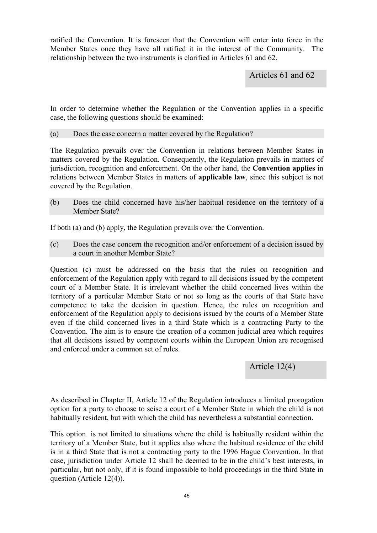ratified the Convention. It is foreseen that the Convention will enter into force in the Member States once they have all ratified it in the interest of the Community. The relationship between the two instruments is clarified in Articles 61 and 62.

Articles 61 and 62

In order to determine whether the Regulation or the Convention applies in a specific case, the following questions should be examined:

#### (a) Does the case concern a matter covered by the Regulation?

The Regulation prevails over the Convention in relations between Member States in matters covered by the Regulation. Consequently, the Regulation prevails in matters of jurisdiction, recognition and enforcement. On the other hand, the **Convention applies** in relations between Member States in matters of **applicable law**, since this subject is not covered by the Regulation.

(b) Does the child concerned have his/her habitual residence on the territory of a Member State?

If both (a) and (b) apply, the Regulation prevails over the Convention.

(c) Does the case concern the recognition and/or enforcement of a decision issued by a court in another Member State?

Question (c) must be addressed on the basis that the rules on recognition and enforcement of the Regulation apply with regard to all decisions issued by the competent court of a Member State. It is irrelevant whether the child concerned lives within the territory of a particular Member State or not so long as the courts of that State have competence to take the decision in question. Hence, the rules on recognition and enforcement of the Regulation apply to decisions issued by the courts of a Member State even if the child concerned lives in a third State which is a contracting Party to the Convention. The aim is to ensure the creation of a common judicial area which requires that all decisions issued by competent courts within the European Union are recognised and enforced under a common set of rules.

Article 12(4)

As described in Chapter II, Article 12 of the Regulation introduces a limited prorogation option for a party to choose to seise a court of a Member State in which the child is not habitually resident, but with which the child has nevertheless a substantial connection.

This option is not limited to situations where the child is habitually resident within the territory of a Member State, but it applies also where the habitual residence of the child is in a third State that is not a contracting party to the 1996 Hague Convention. In that case, jurisdiction under Article 12 shall be deemed to be in the child's best interests, in particular, but not only, if it is found impossible to hold proceedings in the third State in question (Article 12(4)).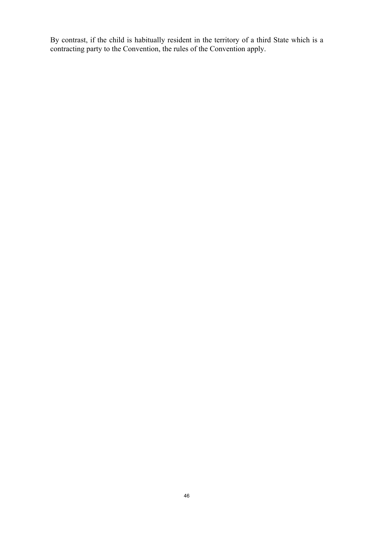By contrast, if the child is habitually resident in the territory of a third State which is a contracting party to the Convention, the rules of the Convention apply.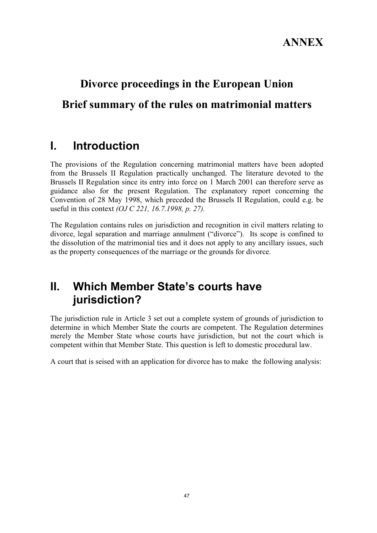# **Divorce proceedings in the European Union Brief summary of the rules on matrimonial matters**

## **I. Introduction**

The provisions of the Regulation concerning matrimonial matters have been adopted from the Brussels II Regulation practically unchanged. The literature devoted to the Brussels II Regulation since its entry into force on 1 March 2001 can therefore serve as guidance also for the present Regulation. The explanatory report concerning the Convention of 28 May 1998, which preceded the Brussels II Regulation, could e.g. be useful in this context *(OJ C 221, 16.7.1998, p. 27).* 

The Regulation contains rules on jurisdiction and recognition in civil matters relating to divorce, legal separation and marriage annulment ("divorce"). Its scope is confined to the dissolution of the matrimonial ties and it does not apply to any ancillary issues, such as the property consequences of the marriage or the grounds for divorce.

## **II. Which Member State's courts have jurisdiction?**

The jurisdiction rule in Article 3 set out a complete system of grounds of jurisdiction to determine in which Member State the courts are competent. The Regulation determines merely the Member State whose courts have jurisdiction, but not the court which is competent within that Member State. This question is left to domestic procedural law.

A court that is seised with an application for divorce has to make the following analysis: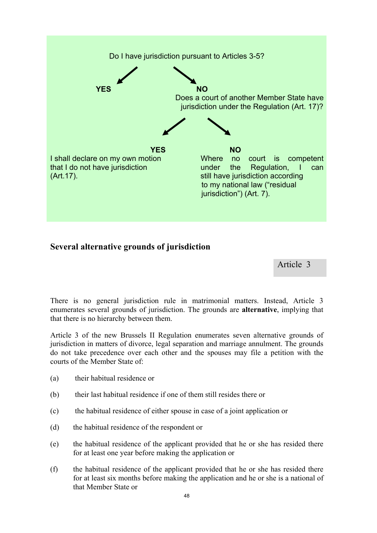

### **Several alternative grounds of jurisdiction**

Article 3

There is no general jurisdiction rule in matrimonial matters. Instead, Article 3 enumerates several grounds of jurisdiction. The grounds are **alternative**, implying that that there is no hierarchy between them.

Article 3 of the new Brussels II Regulation enumerates seven alternative grounds of jurisdiction in matters of divorce, legal separation and marriage annulment. The grounds do not take precedence over each other and the spouses may file a petition with the courts of the Member State of:

- (a) their habitual residence or
- (b) their last habitual residence if one of them still resides there or
- (c) the habitual residence of either spouse in case of a joint application or
- (d) the habitual residence of the respondent or
- (e) the habitual residence of the applicant provided that he or she has resided there for at least one year before making the application or
- (f) the habitual residence of the applicant provided that he or she has resided there for at least six months before making the application and he or she is a national of that Member State or